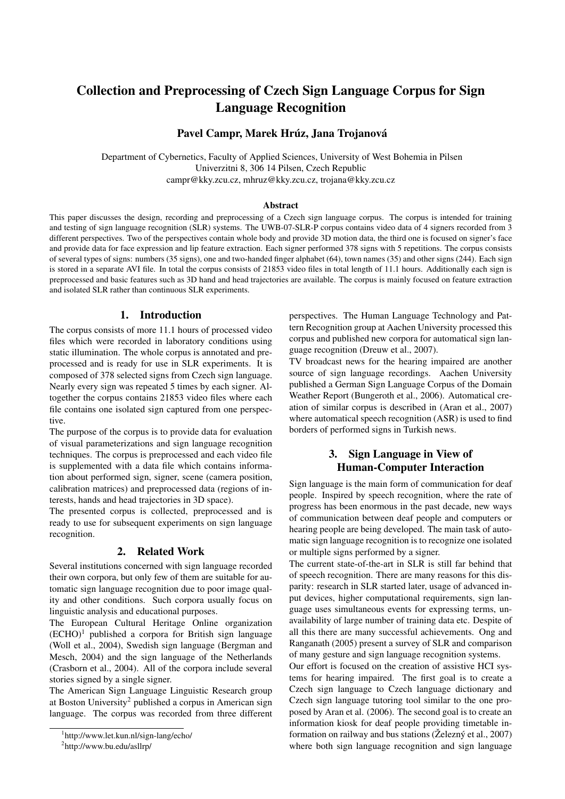# Collection and Preprocessing of Czech Sign Language Corpus for Sign Language Recognition

## Pavel Campr, Marek Hrúz, Jana Trojanová

Department of Cybernetics, Faculty of Applied Sciences, University of West Bohemia in Pilsen Univerzitni 8, 306 14 Pilsen, Czech Republic campr@kky.zcu.cz, mhruz@kky.zcu.cz, trojana@kky.zcu.cz

### Abstract

This paper discusses the design, recording and preprocessing of a Czech sign language corpus. The corpus is intended for training and testing of sign language recognition (SLR) systems. The UWB-07-SLR-P corpus contains video data of 4 signers recorded from 3 different perspectives. Two of the perspectives contain whole body and provide 3D motion data, the third one is focused on signer's face and provide data for face expression and lip feature extraction. Each signer performed 378 signs with 5 repetitions. The corpus consists of several types of signs: numbers (35 signs), one and two-handed finger alphabet (64), town names (35) and other signs (244). Each sign is stored in a separate AVI file. In total the corpus consists of 21853 video files in total length of 11.1 hours. Additionally each sign is preprocessed and basic features such as 3D hand and head trajectories are available. The corpus is mainly focused on feature extraction and isolated SLR rather than continuous SLR experiments.

### 1. Introduction

The corpus consists of more 11.1 hours of processed video files which were recorded in laboratory conditions using static illumination. The whole corpus is annotated and preprocessed and is ready for use in SLR experiments. It is composed of 378 selected signs from Czech sign language. Nearly every sign was repeated 5 times by each signer. Altogether the corpus contains 21853 video files where each file contains one isolated sign captured from one perspective.

The purpose of the corpus is to provide data for evaluation of visual parameterizations and sign language recognition techniques. The corpus is preprocessed and each video file is supplemented with a data file which contains information about performed sign, signer, scene (camera position, calibration matrices) and preprocessed data (regions of interests, hands and head trajectories in 3D space).

The presented corpus is collected, preprocessed and is ready to use for subsequent experiments on sign language recognition.

#### 2. Related Work

Several institutions concerned with sign language recorded their own corpora, but only few of them are suitable for automatic sign language recognition due to poor image quality and other conditions. Such corpora usually focus on linguistic analysis and educational purposes.

The European Cultural Heritage Online organization  $(ECHO)^1$  published a corpora for British sign language (Woll et al., 2004), Swedish sign language (Bergman and Mesch, 2004) and the sign language of the Netherlands (Crasborn et al., 2004). All of the corpora include several stories signed by a single signer.

The American Sign Language Linguistic Research group at Boston University<sup>2</sup> published a corpus in American sign language. The corpus was recorded from three different perspectives. The Human Language Technology and Pattern Recognition group at Aachen University processed this corpus and published new corpora for automatical sign language recognition (Dreuw et al., 2007).

TV broadcast news for the hearing impaired are another source of sign language recordings. Aachen University published a German Sign Language Corpus of the Domain Weather Report (Bungeroth et al., 2006). Automatical creation of similar corpus is described in (Aran et al., 2007) where automatical speech recognition (ASR) is used to find borders of performed signs in Turkish news.

# 3. Sign Language in View of Human-Computer Interaction

Sign language is the main form of communication for deaf people. Inspired by speech recognition, where the rate of progress has been enormous in the past decade, new ways of communication between deaf people and computers or hearing people are being developed. The main task of automatic sign language recognition is to recognize one isolated or multiple signs performed by a signer.

The current state-of-the-art in SLR is still far behind that of speech recognition. There are many reasons for this disparity: research in SLR started later, usage of advanced input devices, higher computational requirements, sign language uses simultaneous events for expressing terms, unavailability of large number of training data etc. Despite of all this there are many successful achievements. Ong and Ranganath (2005) present a survey of SLR and comparison of many gesture and sign language recognition systems.

Our effort is focused on the creation of assistive HCI systems for hearing impaired. The first goal is to create a Czech sign language to Czech language dictionary and Czech sign language tutoring tool similar to the one proposed by Aran et al. (2006). The second goal is to create an information kiosk for deaf people providing timetable information on railway and bus stations ( $\check{Z}$ elezn $\check{y}$  et al., 2007) where both sign language recognition and sign language

<sup>1</sup> http://www.let.kun.nl/sign-lang/echo/

<sup>2</sup> http://www.bu.edu/asllrp/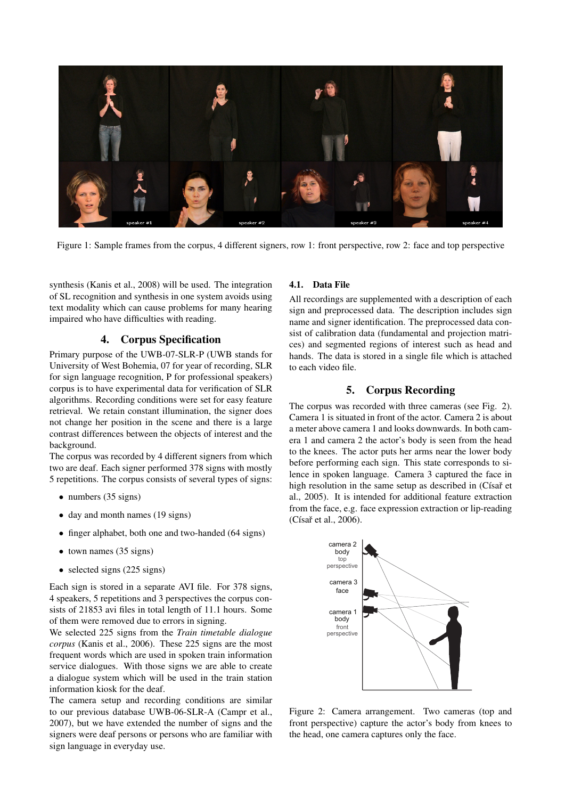

Figure 1: Sample frames from the corpus, 4 different signers, row 1: front perspective, row 2: face and top perspective

synthesis (Kanis et al., 2008) will be used. The integration of SL recognition and synthesis in one system avoids using text modality which can cause problems for many hearing impaired who have difficulties with reading.

# 4. Corpus Specification

Primary purpose of the UWB-07-SLR-P (UWB stands for University of West Bohemia, 07 for year of recording, SLR for sign language recognition, P for professional speakers) corpus is to have experimental data for verification of SLR algorithms. Recording conditions were set for easy feature retrieval. We retain constant illumination, the signer does not change her position in the scene and there is a large contrast differences between the objects of interest and the background.

The corpus was recorded by 4 different signers from which two are deaf. Each signer performed 378 signs with mostly 5 repetitions. The corpus consists of several types of signs:

- numbers (35 signs)
- day and month names (19 signs)
- finger alphabet, both one and two-handed (64 signs)
- town names (35 signs)
- selected signs (225 signs)

Each sign is stored in a separate AVI file. For 378 signs, 4 speakers, 5 repetitions and 3 perspectives the corpus consists of 21853 avi files in total length of 11.1 hours. Some of them were removed due to errors in signing.

We selected 225 signs from the *Train timetable dialogue corpus* (Kanis et al., 2006). These 225 signs are the most frequent words which are used in spoken train information service dialogues. With those signs we are able to create a dialogue system which will be used in the train station information kiosk for the deaf.

The camera setup and recording conditions are similar to our previous database UWB-06-SLR-A (Campr et al., 2007), but we have extended the number of signs and the signers were deaf persons or persons who are familiar with sign language in everyday use.

### 4.1. Data File

All recordings are supplemented with a description of each sign and preprocessed data. The description includes sign name and signer identification. The preprocessed data consist of calibration data (fundamental and projection matrices) and segmented regions of interest such as head and hands. The data is stored in a single file which is attached to each video file.

## 5. Corpus Recording

The corpus was recorded with three cameras (see Fig. 2). Camera 1 is situated in front of the actor. Camera 2 is about a meter above camera 1 and looks downwards. In both camera 1 and camera 2 the actor's body is seen from the head to the knees. The actor puts her arms near the lower body before performing each sign. This state corresponds to silence in spoken language. Camera 3 captured the face in high resolution in the same setup as described in (Císař et al., 2005). It is intended for additional feature extraction from the face, e.g. face expression extraction or lip-reading (Císař et al., 2006).



Figure 2: Camera arrangement. Two cameras (top and front perspective) capture the actor's body from knees to the head, one camera captures only the face.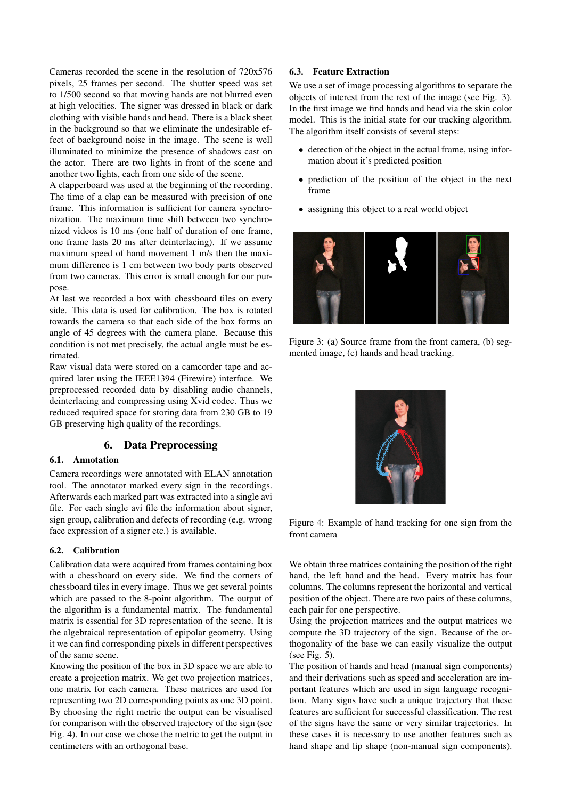Cameras recorded the scene in the resolution of 720x576 pixels, 25 frames per second. The shutter speed was set to 1/500 second so that moving hands are not blurred even at high velocities. The signer was dressed in black or dark clothing with visible hands and head. There is a black sheet in the background so that we eliminate the undesirable effect of background noise in the image. The scene is well illuminated to minimize the presence of shadows cast on the actor. There are two lights in front of the scene and another two lights, each from one side of the scene.

A clapperboard was used at the beginning of the recording. The time of a clap can be measured with precision of one frame. This information is sufficient for camera synchronization. The maximum time shift between two synchronized videos is 10 ms (one half of duration of one frame, one frame lasts 20 ms after deinterlacing). If we assume maximum speed of hand movement 1 m/s then the maximum difference is 1 cm between two body parts observed from two cameras. This error is small enough for our purpose.

At last we recorded a box with chessboard tiles on every side. This data is used for calibration. The box is rotated towards the camera so that each side of the box forms an angle of 45 degrees with the camera plane. Because this condition is not met precisely, the actual angle must be estimated.

Raw visual data were stored on a camcorder tape and acquired later using the IEEE1394 (Firewire) interface. We preprocessed recorded data by disabling audio channels, deinterlacing and compressing using Xvid codec. Thus we reduced required space for storing data from 230 GB to 19 GB preserving high quality of the recordings.

### 6. Data Preprocessing

#### 6.1. Annotation

Camera recordings were annotated with ELAN annotation tool. The annotator marked every sign in the recordings. Afterwards each marked part was extracted into a single avi file. For each single avi file the information about signer, sign group, calibration and defects of recording (e.g. wrong face expression of a signer etc.) is available.

### 6.2. Calibration

Calibration data were acquired from frames containing box with a chessboard on every side. We find the corners of chessboard tiles in every image. Thus we get several points which are passed to the 8-point algorithm. The output of the algorithm is a fundamental matrix. The fundamental matrix is essential for 3D representation of the scene. It is the algebraical representation of epipolar geometry. Using it we can find corresponding pixels in different perspectives of the same scene.

Knowing the position of the box in 3D space we are able to create a projection matrix. We get two projection matrices, one matrix for each camera. These matrices are used for representing two 2D corresponding points as one 3D point. By choosing the right metric the output can be visualised for comparison with the observed trajectory of the sign (see Fig. 4). In our case we chose the metric to get the output in centimeters with an orthogonal base.

### 6.3. Feature Extraction

We use a set of image processing algorithms to separate the objects of interest from the rest of the image (see Fig. 3). In the first image we find hands and head via the skin color model. This is the initial state for our tracking algorithm. The algorithm itself consists of several steps:

- detection of the object in the actual frame, using information about it's predicted position
- prediction of the position of the object in the next frame
- assigning this object to a real world object



Figure 3: (a) Source frame from the front camera, (b) segmented image, (c) hands and head tracking.



Figure 4: Example of hand tracking for one sign from the front camera

We obtain three matrices containing the position of the right hand, the left hand and the head. Every matrix has four columns. The columns represent the horizontal and vertical position of the object. There are two pairs of these columns, each pair for one perspective.

Using the projection matrices and the output matrices we compute the 3D trajectory of the sign. Because of the orthogonality of the base we can easily visualize the output (see Fig. 5).

The position of hands and head (manual sign components) and their derivations such as speed and acceleration are important features which are used in sign language recognition. Many signs have such a unique trajectory that these features are sufficient for successful classification. The rest of the signs have the same or very similar trajectories. In these cases it is necessary to use another features such as hand shape and lip shape (non-manual sign components).